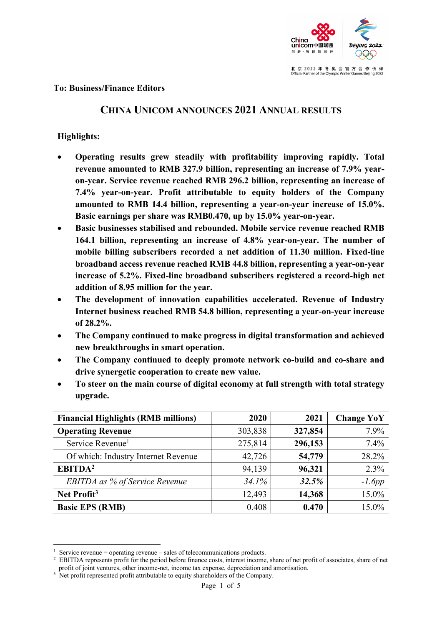

北京 2022 年 冬 奥 会 官 方 合 作 伙 伴<br>Official Partner of the Olympic Winter Games Beijing 2022

#### **To: Business/Finance Editors**

# **CHINA UNICOM ANNOUNCES 2021 ANNUAL RESULTS**

# **Highlights:**

- **Operating results grew steadily with profitability improving rapidly. Total revenue amounted to RMB 327.9 billion, representing an increase of 7.9% yearon-year. Service revenue reached RMB 296.2 billion, representing an increase of 7.4% year-on-year. Profit attributable to equity holders of the Company amounted to RMB 14.4 billion, representing a year-on-year increase of 15.0%. Basic earnings per share was RMB0.470, up by 15.0% year-on-year.**
- **Basic businesses stabilised and rebounded. Mobile service revenue reached RMB 164.1 billion, representing an increase of 4.8% year-on-year. The number of mobile billing subscribers recorded a net addition of 11.30 million. Fixed-line broadband access revenue reached RMB 44.8 billion, representing a year-on-year increase of 5.2%. Fixed-line broadband subscribers registered a record-high net addition of 8.95 million for the year.**
- **The development of innovation capabilities accelerated. Revenue of Industry Internet business reached RMB 54.8 billion, representing a year-on-year increase of 28.2%.**
- **The Company continued to make progress in digital transformation and achieved new breakthroughs in smart operation.**
- **The Company continued to deeply promote network co-build and co-share and drive synergetic cooperation to create new value.**
- **To steer on the main course of digital economy at full strength with total strategy upgrade.**

| <b>Financial Highlights (RMB millions)</b> | 2020    | 2021    | <b>Change YoY</b> |
|--------------------------------------------|---------|---------|-------------------|
| <b>Operating Revenue</b>                   | 303,838 | 327,854 | 7.9%              |
| Service Revenue <sup>1</sup>               | 275,814 | 296,153 | 7.4%              |
| Of which: Industry Internet Revenue        | 42,726  | 54,779  | 28.2%             |
| EBITDA <sup>2</sup>                        | 94,139  | 96,321  | 2.3%              |
| <b>EBITDA</b> as % of Service Revenue      | 34.1%   | 32.5%   | $-1.6pp$          |
| Net Profit <sup>3</sup>                    | 12,493  | 14,368  | 15.0%             |
| <b>Basic EPS (RMB)</b>                     | 0.408   | 0.470   | 15.0%             |

Service revenue  $=$  operating revenue  $-$  sales of telecommunications products.

<sup>&</sup>lt;sup>2</sup> EBITDA represents profit for the period before finance costs, interest income, share of net profit of associates, share of net profit of joint ventures, other income-net, income tax expense, depreciation and amortisation.

 $3\text{ }$ Net profit represented profit attributable to equity shareholders of the Company.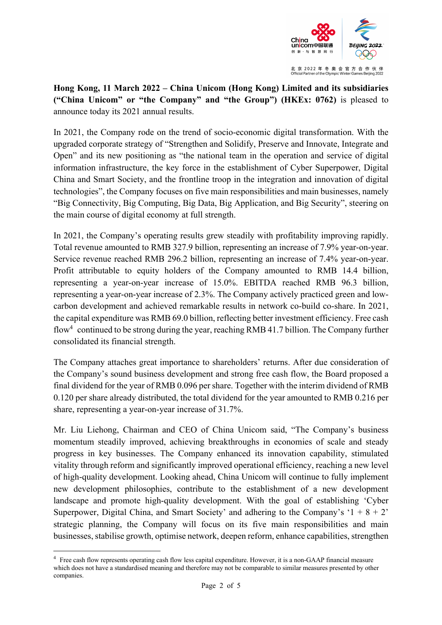

北 京 2022 年 冬 奥 会 官 方 合 作 伙 伴 Official Partner of the Olympic Winter Games Beijing 2022

**Hong Kong, 11 March 2022 – China Unicom (Hong Kong) Limited and its subsidiaries ("China Unicom" or "the Company" and "the Group") (HKEx: 0762)** is pleased to announce today its 2021 annual results.

In 2021, the Company rode on the trend of socio-economic digital transformation. With the upgraded corporate strategy of "Strengthen and Solidify, Preserve and Innovate, Integrate and Open" and its new positioning as "the national team in the operation and service of digital information infrastructure, the key force in the establishment of Cyber Superpower, Digital China and Smart Society, and the frontline troop in the integration and innovation of digital technologies", the Company focuses on five main responsibilities and main businesses, namely "Big Connectivity, Big Computing, Big Data, Big Application, and Big Security", steering on the main course of digital economy at full strength.

In 2021, the Company's operating results grew steadily with profitability improving rapidly. Total revenue amounted to RMB 327.9 billion, representing an increase of 7.9% year-on-year. Service revenue reached RMB 296.2 billion, representing an increase of 7.4% year-on-year. Profit attributable to equity holders of the Company amounted to RMB 14.4 billion, representing a year-on-year increase of 15.0%. EBITDA reached RMB 96.3 billion, representing a year-on-year increase of 2.3%. The Company actively practiced green and lowcarbon development and achieved remarkable results in network co-build co-share. In 2021, the capital expenditure was RMB 69.0 billion, reflecting better investment efficiency. Free cash flow4 continued to be strong during the year, reaching RMB 41.7 billion. The Company further consolidated its financial strength.

The Company attaches great importance to shareholders' returns. After due consideration of the Company's sound business development and strong free cash flow, the Board proposed a final dividend for the year of RMB 0.096 per share. Together with the interim dividend of RMB 0.120 per share already distributed, the total dividend for the year amounted to RMB 0.216 per share, representing a year-on-year increase of 31.7%.

Mr. Liu Liehong, Chairman and CEO of China Unicom said, "The Company's business momentum steadily improved, achieving breakthroughs in economies of scale and steady progress in key businesses. The Company enhanced its innovation capability, stimulated vitality through reform and significantly improved operational efficiency, reaching a new level of high-quality development. Looking ahead, China Unicom will continue to fully implement new development philosophies, contribute to the establishment of a new development landscape and promote high-quality development. With the goal of establishing 'Cyber Superpower, Digital China, and Smart Society' and adhering to the Company's ' $1 + 8 + 2$ ' strategic planning, the Company will focus on its five main responsibilities and main businesses, stabilise growth, optimise network, deepen reform, enhance capabilities, strengthen

<sup>&</sup>lt;sup>4</sup> Free cash flow represents operating cash flow less capital expenditure. However, it is a non-GAAP financial measure which does not have a standardised meaning and therefore may not be comparable to similar measures presented by other companies.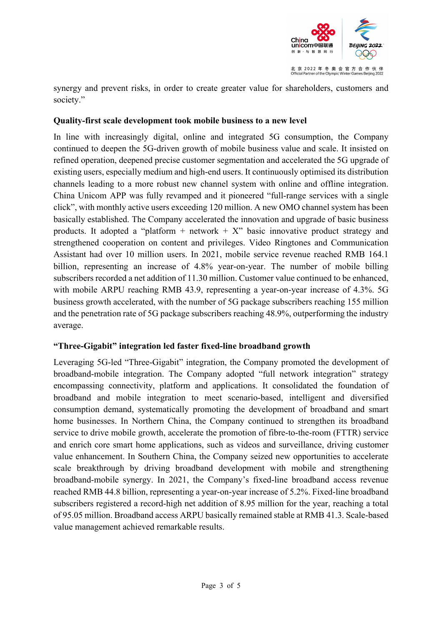

synergy and prevent risks, in order to create greater value for shareholders, customers and society."

# **Quality-first scale development took mobile business to a new level**

In line with increasingly digital, online and integrated 5G consumption, the Company continued to deepen the 5G-driven growth of mobile business value and scale. It insisted on refined operation, deepened precise customer segmentation and accelerated the 5G upgrade of existing users, especially medium and high-end users. It continuously optimised its distribution channels leading to a more robust new channel system with online and offline integration. China Unicom APP was fully revamped and it pioneered "full-range services with a single click", with monthly active users exceeding 120 million. A new OMO channel system has been basically established. The Company accelerated the innovation and upgrade of basic business products. It adopted a "platform + network +  $X$ " basic innovative product strategy and strengthened cooperation on content and privileges. Video Ringtones and Communication Assistant had over 10 million users. In 2021, mobile service revenue reached RMB 164.1 billion, representing an increase of 4.8% year-on-year. The number of mobile billing subscribers recorded a net addition of 11.30 million. Customer value continued to be enhanced, with mobile ARPU reaching RMB 43.9, representing a year-on-year increase of 4.3%. 5G business growth accelerated, with the number of 5G package subscribers reaching 155 million and the penetration rate of 5G package subscribers reaching 48.9%, outperforming the industry average.

## **"Three-Gigabit" integration led faster fixed-line broadband growth**

Leveraging 5G-led "Three-Gigabit" integration, the Company promoted the development of broadband-mobile integration. The Company adopted "full network integration" strategy encompassing connectivity, platform and applications. It consolidated the foundation of broadband and mobile integration to meet scenario-based, intelligent and diversified consumption demand, systematically promoting the development of broadband and smart home businesses. In Northern China, the Company continued to strengthen its broadband service to drive mobile growth, accelerate the promotion of fibre-to-the-room (FTTR) service and enrich core smart home applications, such as videos and surveillance, driving customer value enhancement. In Southern China, the Company seized new opportunities to accelerate scale breakthrough by driving broadband development with mobile and strengthening broadband-mobile synergy. In 2021, the Company's fixed-line broadband access revenue reached RMB 44.8 billion, representing a year-on-year increase of 5.2%. Fixed-line broadband subscribers registered a record-high net addition of 8.95 million for the year, reaching a total of 95.05 million. Broadband access ARPU basically remained stable at RMB 41.3. Scale-based value management achieved remarkable results.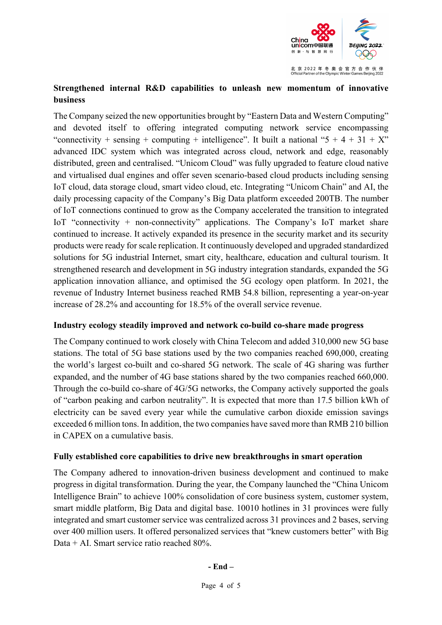

北京 2022 年 冬 奥 会 官 方 合 作 伙 伴<br>Official Partner of the Olympic Winter Games Beijing 2022

# **Strengthened internal R&D capabilities to unleash new momentum of innovative business**

The Company seized the new opportunities brought by "Eastern Data and Western Computing" and devoted itself to offering integrated computing network service encompassing "connectivity + sensing + computing + intelligence". It built a national "5 + 4 + 31 + X" advanced IDC system which was integrated across cloud, network and edge, reasonably distributed, green and centralised. "Unicom Cloud" was fully upgraded to feature cloud native and virtualised dual engines and offer seven scenario-based cloud products including sensing IoT cloud, data storage cloud, smart video cloud, etc. Integrating "Unicom Chain" and AI, the daily processing capacity of the Company's Big Data platform exceeded 200TB. The number of IoT connections continued to grow as the Company accelerated the transition to integrated IoT "connectivity + non-connectivity" applications. The Company's IoT market share continued to increase. It actively expanded its presence in the security market and its security products were ready for scale replication. It continuously developed and upgraded standardized solutions for 5G industrial Internet, smart city, healthcare, education and cultural tourism. It strengthened research and development in 5G industry integration standards, expanded the 5G application innovation alliance, and optimised the 5G ecology open platform. In 2021, the revenue of Industry Internet business reached RMB 54.8 billion, representing a year-on-year increase of 28.2% and accounting for 18.5% of the overall service revenue.

## **Industry ecology steadily improved and network co-build co-share made progress**

The Company continued to work closely with China Telecom and added 310,000 new 5G base stations. The total of 5G base stations used by the two companies reached 690,000, creating the world's largest co-built and co-shared 5G network. The scale of 4G sharing was further expanded, and the number of 4G base stations shared by the two companies reached 660,000. Through the co-build co-share of 4G/5G networks, the Company actively supported the goals of "carbon peaking and carbon neutrality". It is expected that more than 17.5 billion kWh of electricity can be saved every year while the cumulative carbon dioxide emission savings exceeded 6 million tons. In addition, the two companies have saved more than RMB 210 billion in CAPEX on a cumulative basis.

## **Fully established core capabilities to drive new breakthroughs in smart operation**

The Company adhered to innovation-driven business development and continued to make progress in digital transformation. During the year, the Company launched the "China Unicom Intelligence Brain" to achieve 100% consolidation of core business system, customer system, smart middle platform, Big Data and digital base. 10010 hotlines in 31 provinces were fully integrated and smart customer service was centralized across 31 provinces and 2 bases, serving over 400 million users. It offered personalized services that "knew customers better" with Big Data + AI. Smart service ratio reached 80%.

#### **- End –**